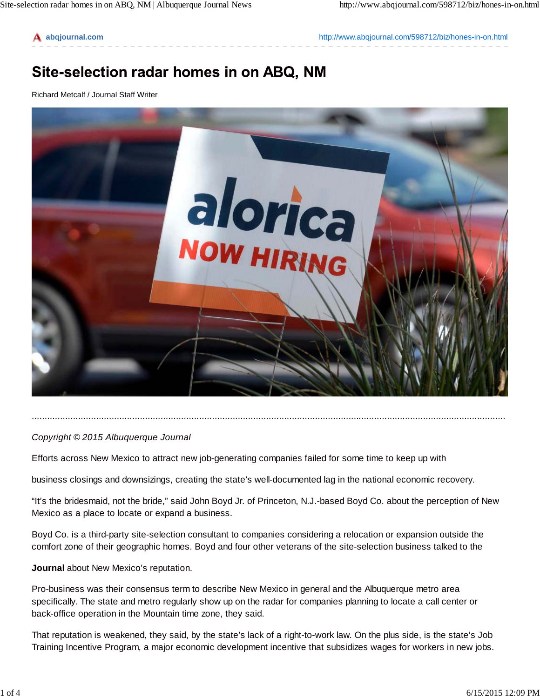**abqjournal.com** http://www.abqjournal.com/598712/biz/hones-in-on.html

## Site-selection radar homes in on ABQ, NM

Richard Metcalf / Journal Staff Writer



## *Copyright © 2015 Albuquerque Journal*

Efforts across New Mexico to attract new job-generating companies failed for some time to keep up with

business closings and downsizings, creating the state's well-documented lag in the national economic recovery.

"It's the bridesmaid, not the bride," said John Boyd Jr. of Princeton, N.J.-based Boyd Co. about the perception of New Mexico as a place to locate or expand a business.

........................................................................................................................................................................................

Boyd Co. is a third-party site-selection consultant to companies considering a relocation or expansion outside the comfort zone of their geographic homes. Boyd and four other veterans of the site-selection business talked to the

## **Journal** about New Mexico's reputation.

Pro-business was their consensus term to describe New Mexico in general and the Albuquerque metro area specifically. The state and metro regularly show up on the radar for companies planning to locate a call center or back-office operation in the Mountain time zone, they said.

That reputation is weakened, they said, by the state's lack of a right-to-work law. On the plus side, is the state's Job Training Incentive Program, a major economic development incentive that subsidizes wages for workers in new jobs.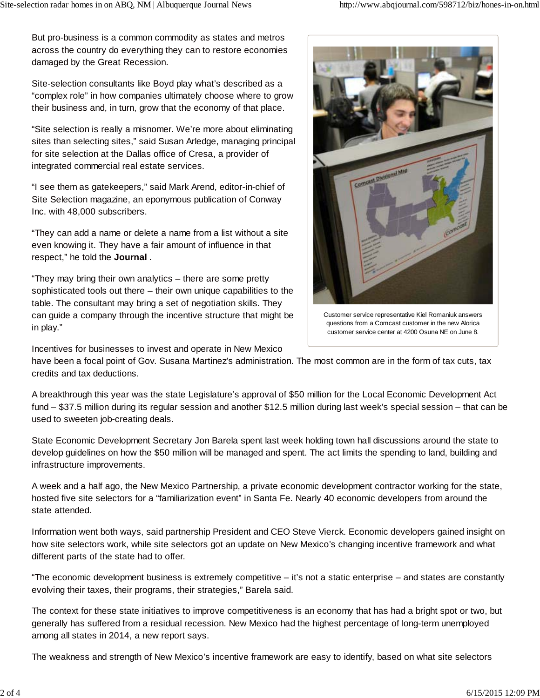But pro-business is a common commodity as states and metros across the country do everything they can to restore economies damaged by the Great Recession.

Site-selection consultants like Boyd play what's described as a "complex role" in how companies ultimately choose where to grow their business and, in turn, grow that the economy of that place.

"Site selection is really a misnomer. We're more about eliminating sites than selecting sites," said Susan Arledge, managing principal for site selection at the Dallas office of Cresa, a provider of integrated commercial real estate services.

"I see them as gatekeepers," said Mark Arend, editor-in-chief of Site Selection magazine, an eponymous publication of Conway Inc. with 48,000 subscribers.

"They can add a name or delete a name from a list without a site even knowing it. They have a fair amount of influence in that respect," he told the **Journal** .

"They may bring their own analytics – there are some pretty sophisticated tools out there – their own unique capabilities to the table. The consultant may bring a set of negotiation skills. They can guide a company through the incentive structure that might be in play."

Incentives for businesses to invest and operate in New Mexico

have been a focal point of Gov. Susana Martinez's administration. The most common are in the form of tax cuts, tax credits and tax deductions.

A breakthrough this year was the state Legislature's approval of \$50 million for the Local Economic Development Act fund – \$37.5 million during its regular session and another \$12.5 million during last week's special session – that can be used to sweeten job-creating deals.

State Economic Development Secretary Jon Barela spent last week holding town hall discussions around the state to develop guidelines on how the \$50 million will be managed and spent. The act limits the spending to land, building and infrastructure improvements.

A week and a half ago, the New Mexico Partnership, a private economic development contractor working for the state, hosted five site selectors for a "familiarization event" in Santa Fe. Nearly 40 economic developers from around the state attended.

Information went both ways, said partnership President and CEO Steve Vierck. Economic developers gained insight on how site selectors work, while site selectors got an update on New Mexico's changing incentive framework and what different parts of the state had to offer.

"The economic development business is extremely competitive – it's not a static enterprise – and states are constantly evolving their taxes, their programs, their strategies," Barela said.

The context for these state initiatives to improve competitiveness is an economy that has had a bright spot or two, but generally has suffered from a residual recession. New Mexico had the highest percentage of long-term unemployed among all states in 2014, a new report says.

The weakness and strength of New Mexico's incentive framework are easy to identify, based on what site selectors



Customer service representative Kiel Romaniuk answers questions from a Comcast customer in the new Alorica customer service center at 4200 Osuna NE on June 8.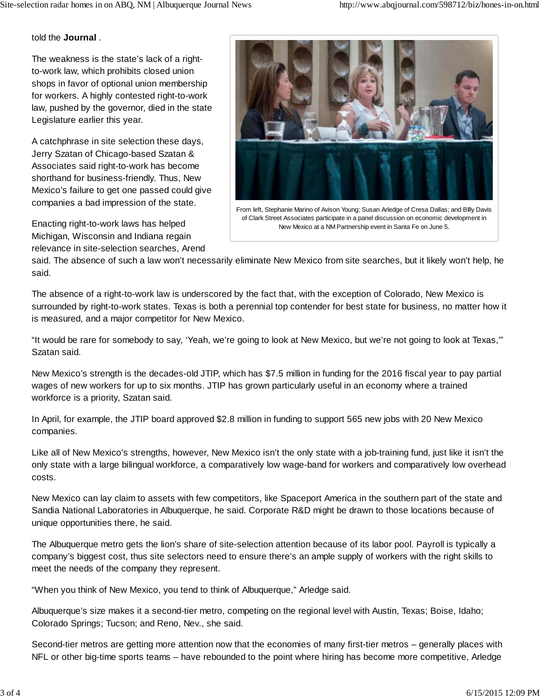told the **Journal** .

The weakness is the state's lack of a rightto-work law, which prohibits closed union shops in favor of optional union membership for workers. A highly contested right-to-work law, pushed by the governor, died in the state Legislature earlier this year.

A catchphrase in site selection these days, Jerry Szatan of Chicago-based Szatan & Associates said right-to-work has become shorthand for business-friendly. Thus, New Mexico's failure to get one passed could give companies a bad impression of the state.

Enacting right-to-work laws has helped Michigan, Wisconsin and Indiana regain relevance in site-selection searches, Arend



From left, Stephanie Marino of Avison Young; Susan Arledge of Cresa Dallas; and BIlly Davis of Clark Street Associates participate in a panel discussion on economic development in New Mexico at a NM Partnership event in Santa Fe on June 5.

said. The absence of such a law won't necessarily eliminate New Mexico from site searches, but it likely won't help, he said.

The absence of a right-to-work law is underscored by the fact that, with the exception of Colorado, New Mexico is surrounded by right-to-work states. Texas is both a perennial top contender for best state for business, no matter how it is measured, and a major competitor for New Mexico.

"It would be rare for somebody to say, 'Yeah, we're going to look at New Mexico, but we're not going to look at Texas,"" Szatan said.

New Mexico's strength is the decades-old JTIP, which has \$7.5 million in funding for the 2016 fiscal year to pay partial wages of new workers for up to six months. JTIP has grown particularly useful in an economy where a trained workforce is a priority, Szatan said.

In April, for example, the JTIP board approved \$2.8 million in funding to support 565 new jobs with 20 New Mexico companies.

Like all of New Mexico's strengths, however, New Mexico isn't the only state with a job-training fund, just like it isn't the only state with a large bilingual workforce, a comparatively low wage-band for workers and comparatively low overhead costs.

New Mexico can lay claim to assets with few competitors, like Spaceport America in the southern part of the state and Sandia National Laboratories in Albuquerque, he said. Corporate R&D might be drawn to those locations because of unique opportunities there, he said.

The Albuquerque metro gets the lion's share of site-selection attention because of its labor pool. Payroll is typically a company's biggest cost, thus site selectors need to ensure there's an ample supply of workers with the right skills to meet the needs of the company they represent.

"When you think of New Mexico, you tend to think of Albuquerque," Arledge said.

Albuquerque's size makes it a second-tier metro, competing on the regional level with Austin, Texas; Boise, Idaho; Colorado Springs; Tucson; and Reno, Nev., she said.

Second-tier metros are getting more attention now that the economies of many first-tier metros – generally places with NFL or other big-time sports teams – have rebounded to the point where hiring has become more competitive, Arledge